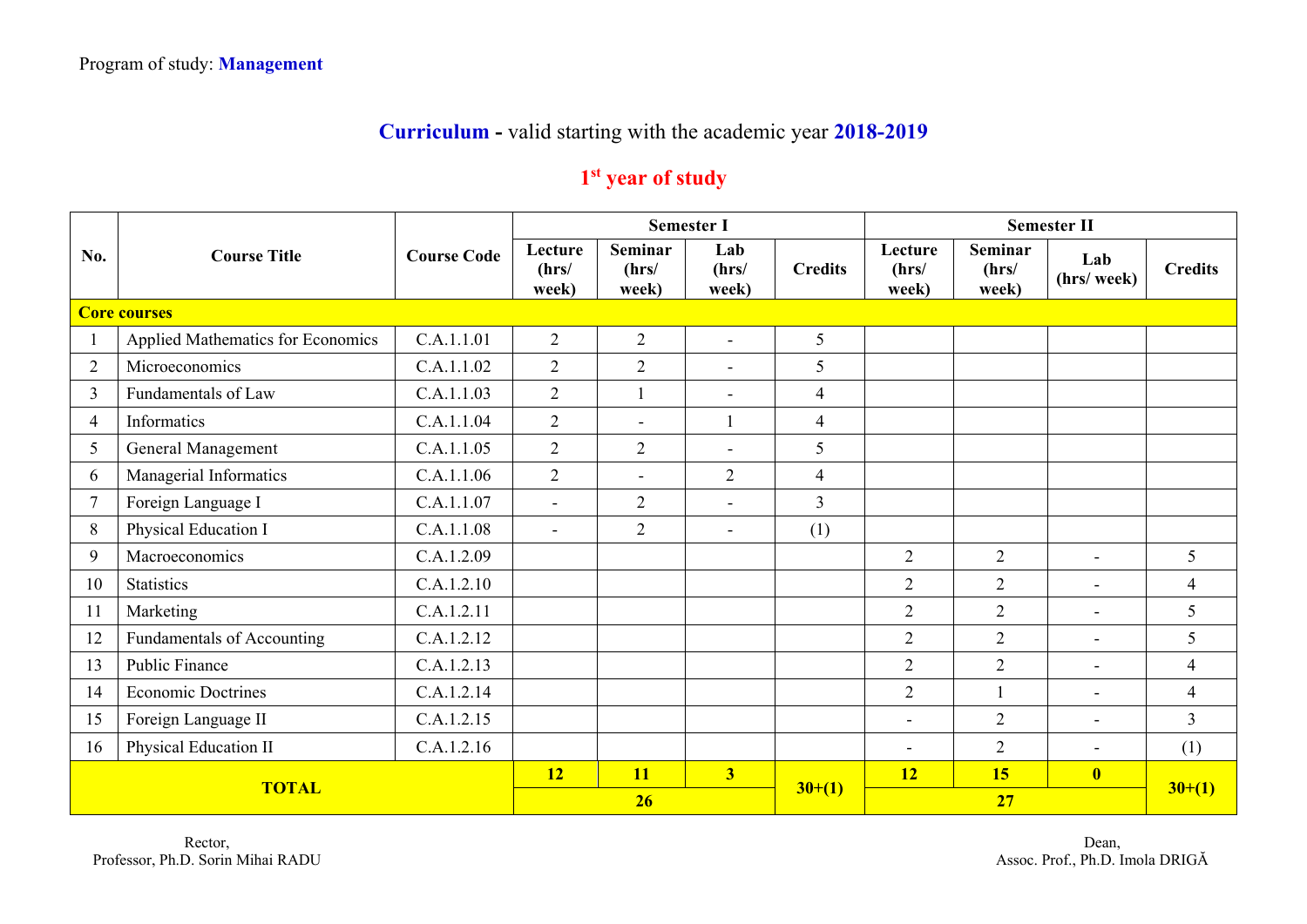## **Curriculum -** valid starting with the academic year **2018-2019**

## **1st year of study**

|                | <b>Course Title</b>               |                    | <b>Semester I</b>         |                                  |                          |                |                           |                                  | <b>Semester II</b>       |                |
|----------------|-----------------------------------|--------------------|---------------------------|----------------------------------|--------------------------|----------------|---------------------------|----------------------------------|--------------------------|----------------|
| No.            |                                   | <b>Course Code</b> | Lecture<br>(hrs/<br>week) | <b>Seminar</b><br>(hrs/<br>week) | Lab<br>(hrs/<br>week)    | <b>Credits</b> | Lecture<br>(hrs/<br>week) | <b>Seminar</b><br>(hrs/<br>week) | Lab<br>(hrs/ week)       | <b>Credits</b> |
|                | <b>Core courses</b>               |                    |                           |                                  |                          |                |                           |                                  |                          |                |
|                | Applied Mathematics for Economics | C.A.1.1.01         | $\overline{2}$            | $\overline{2}$                   | $\sim$                   | 5              |                           |                                  |                          |                |
| $\overline{2}$ | Microeconomics                    | C.A.1.1.02         | $\overline{2}$            | 2                                | $\overline{\phantom{a}}$ | 5              |                           |                                  |                          |                |
| $\overline{3}$ | Fundamentals of Law               | C.A.1.1.03         | $\overline{2}$            | $\overline{1}$                   | $\sim$                   | $\overline{4}$ |                           |                                  |                          |                |
| $\overline{4}$ | Informatics                       | C.A.1.1.04         | $\overline{2}$            | $\blacksquare$                   | 1                        | $\overline{4}$ |                           |                                  |                          |                |
| 5              | General Management                | C.A.1.1.05         | $\overline{2}$            | $\overline{2}$                   | $\overline{\phantom{a}}$ | 5              |                           |                                  |                          |                |
| 6              | Managerial Informatics            | C.A.1.1.06         | $\overline{2}$            | $\sim$                           | 2                        | $\overline{4}$ |                           |                                  |                          |                |
| $\tau$         | Foreign Language I                | C.A.1.1.07         | $\overline{a}$            | $\overline{2}$                   | $\sim$                   | $\overline{3}$ |                           |                                  |                          |                |
| 8              | Physical Education I              | C.A.1.1.08         | $\blacksquare$            | $\overline{2}$                   | $\sim$                   | (1)            |                           |                                  |                          |                |
| 9              | Macroeconomics                    | C.A.1.2.09         |                           |                                  |                          |                | $\overline{2}$            | $\overline{2}$                   | $\sim$                   | 5              |
| 10             | <b>Statistics</b>                 | C.A.1.2.10         |                           |                                  |                          |                | $\overline{2}$            | $\overline{2}$                   | $\overline{\phantom{0}}$ | $\overline{4}$ |
| 11             | Marketing                         | C.A.1.2.11         |                           |                                  |                          |                | $\overline{2}$            | $\overline{2}$                   | $\blacksquare$           | 5              |
| 12             | Fundamentals of Accounting        | C.A.1.2.12         |                           |                                  |                          |                | $\overline{2}$            | $\overline{2}$                   | $\blacksquare$           | 5              |
| 13             | Public Finance                    | C.A.1.2.13         |                           |                                  |                          |                | $\overline{2}$            | $\overline{2}$                   | $\blacksquare$           | $\overline{4}$ |
| 14             | <b>Economic Doctrines</b>         | C.A.1.2.14         |                           |                                  |                          |                | $\overline{2}$            | $\overline{\phantom{a}}$         | $\blacksquare$           | $\overline{4}$ |
| 15             | Foreign Language II               | C.A.1.2.15         |                           |                                  |                          |                | $\qquad \qquad -$         | $\overline{2}$                   | $\overline{\phantom{0}}$ | $\overline{3}$ |
| 16             | Physical Education II             | C.A.1.2.16         |                           |                                  |                          |                | $\overline{\phantom{a}}$  | $\overline{2}$                   | $\blacksquare$           | (1)            |
| <b>TOTAL</b>   |                                   |                    | <b>12</b>                 | <b>11</b>                        | 3 <sup>1</sup>           |                | 12                        | 15                               | $\overline{\mathbf{0}}$  |                |
|                |                                   |                    | 26                        |                                  |                          | $30+(1)$       |                           | $30+(1)$                         |                          |                |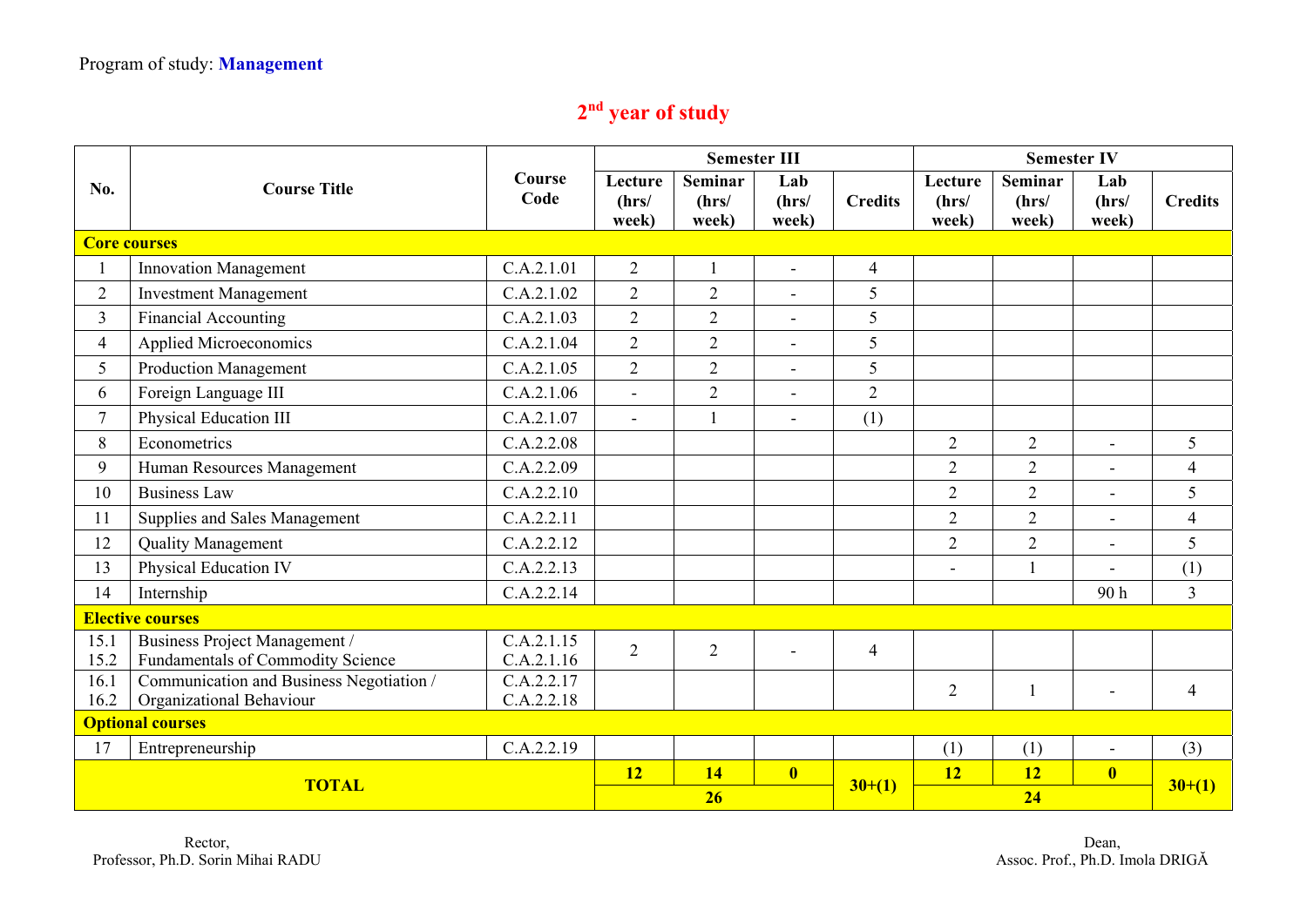## **2nd year of study**

|                         |                                                                    | Course<br>Code           |                           | <b>Semester III</b>              |                          |                | <b>Semester IV</b>        |                                  |                          |                |
|-------------------------|--------------------------------------------------------------------|--------------------------|---------------------------|----------------------------------|--------------------------|----------------|---------------------------|----------------------------------|--------------------------|----------------|
| No.                     | <b>Course Title</b>                                                |                          | Lecture<br>(hrs/<br>week) | <b>Seminar</b><br>(hrs/<br>week) | Lab<br>(hrs/<br>week)    | <b>Credits</b> | Lecture<br>(hrs/<br>week) | <b>Seminar</b><br>(hrs/<br>week) | Lab<br>(hrs/<br>week)    | <b>Credits</b> |
|                         | <b>Core courses</b>                                                |                          |                           |                                  |                          |                |                           |                                  |                          |                |
|                         | Innovation Management                                              | C.A.2.1.01               | $\overline{2}$            |                                  |                          | $\overline{4}$ |                           |                                  |                          |                |
| $\overline{2}$          | <b>Investment Management</b>                                       | C.A.2.1.02               | $\overline{2}$            | $\overline{2}$                   |                          | 5              |                           |                                  |                          |                |
| $\overline{3}$          | <b>Financial Accounting</b>                                        | C.A.2.1.03               | $\overline{2}$            | $\overline{2}$                   | $\blacksquare$           | 5              |                           |                                  |                          |                |
| $\overline{4}$          | Applied Microeconomics                                             | C.A.2.1.04               | $\overline{2}$            | $\overline{2}$                   | $\blacksquare$           | 5              |                           |                                  |                          |                |
| 5                       | <b>Production Management</b>                                       | C.A.2.1.05               | $\overline{2}$            | $\overline{2}$                   | $\blacksquare$           | 5              |                           |                                  |                          |                |
| 6                       | Foreign Language III                                               | C.A.2.1.06               | $\blacksquare$            | $\overline{2}$                   | $\overline{\phantom{a}}$ | $\overline{2}$ |                           |                                  |                          |                |
| $\tau$                  | Physical Education III                                             | C.A.2.1.07               | $\sim$                    |                                  |                          | (1)            |                           |                                  |                          |                |
| 8                       | Econometrics                                                       | C.A.2.2.08               |                           |                                  |                          |                | $\overline{2}$            | $\overline{2}$                   | $\sim$                   | 5              |
| 9                       | Human Resources Management                                         | C.A.2.2.09               |                           |                                  |                          |                | $\overline{2}$            | $\overline{2}$                   | $\blacksquare$           | $\overline{4}$ |
| 10                      | <b>Business Law</b>                                                | C.A.2.2.10               |                           |                                  |                          |                | $\overline{2}$            | $\overline{2}$                   |                          | 5              |
| 11                      | Supplies and Sales Management                                      | C.A.2.2.11               |                           |                                  |                          |                | $\overline{2}$            | $\overline{2}$                   | $\overline{\phantom{a}}$ | $\overline{4}$ |
| 12                      | <b>Quality Management</b>                                          | C.A.2.2.12               |                           |                                  |                          |                | $\overline{2}$            | $\overline{2}$                   |                          | 5              |
| 13                      | Physical Education IV                                              | C.A.2.2.13               |                           |                                  |                          |                |                           | $\mathbf{1}$                     |                          | (1)            |
| 14                      | Internship                                                         | C.A.2.2.14               |                           |                                  |                          |                |                           |                                  | 90h                      | $\overline{3}$ |
| <b>Elective courses</b> |                                                                    |                          |                           |                                  |                          |                |                           |                                  |                          |                |
| 15.1<br>15.2            | Business Project Management /<br>Fundamentals of Commodity Science | C.A.2.1.15<br>C.A.2.1.16 | $\overline{2}$            | $\overline{2}$                   | $\overline{\phantom{a}}$ | $\overline{4}$ |                           |                                  |                          |                |
| 16.1                    | Communication and Business Negotiation /                           | C.A.2.2.17               |                           |                                  |                          |                | $\overline{2}$            | $\mathbf{1}$                     |                          | 4              |
| 16.2                    | Organizational Behaviour                                           | C.A.2.2.18               |                           |                                  |                          |                |                           |                                  |                          |                |
| <b>Optional courses</b> |                                                                    |                          |                           |                                  |                          |                |                           |                                  |                          |                |
| 17                      | Entrepreneurship                                                   | C.A.2.2.19               |                           |                                  |                          |                | (1)                       | (1)                              | $\overline{\phantom{a}}$ | (3)            |
| <b>TOTAL</b>            |                                                                    |                          | 12                        | 14                               | $\overline{\mathbf{0}}$  | $30+(1)$       | 12                        | <b>12</b>                        | $\overline{\mathbf{0}}$  | $30+(1)$       |
|                         |                                                                    |                          | 26                        |                                  |                          |                | 24                        |                                  |                          |                |